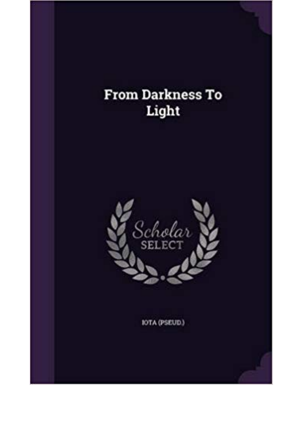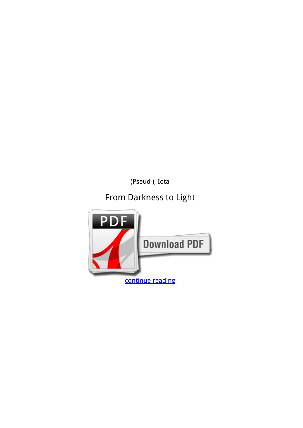*(Pseud ), Iota*

## **From Darkness to Light**

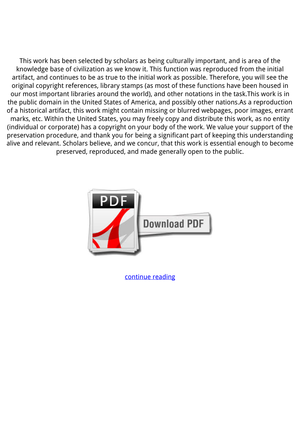This work has been selected by scholars as being culturally important, and is area of the knowledge base of civilization as we know it. This function was reproduced from the initial artifact, and continues to be as true to the initial work as possible. Therefore, you will see the original copyright references, library stamps (as most of these functions have been housed in our most important libraries around the world), and other notations in the task.This work is in the public domain in the United States of America, and possibly other nations.As a reproduction of a historical artifact, this work might contain missing or blurred webpages, poor images, errant marks, etc. Within the United States, you may freely copy and distribute this work, as no entity (individual or corporate) has a copyright on your body of the work. We value your support of the preservation procedure, and thank you for being a significant part of keeping this understanding alive and relevant. Scholars believe, and we concur, that this work is essential enough to become preserved, reproduced, and made generally open to the public.



[continue reading](http://bit.ly/2Tge8Fv)